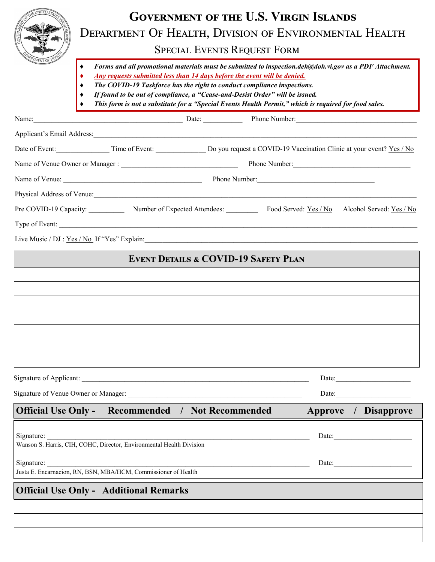|   | <b>GOVERNMENT OF THE U.S. VIRGIN ISLANDS</b>           |
|---|--------------------------------------------------------|
| ● | DEPARTMENT OF HEALTH, DIVISION OF ENVIRONMENTAL HEALTH |
|   | <b>SPECIAL EVENTS REQUEST FORM</b>                     |

- *Forms and all promotional materials must be submitted to inspection.deh@doh.vi.gov as a PDF Attachment.*
- *Any requests submitted less than 14 days before the event will be denied.*
- *The COVID-19 Taskforce has the right to conduct compliance inspections.*
- *If found to be out of compliance, a "Cease-and-Desist Order" will be issued.*
- *This form is not a substitute for a "Special Events Health Permit," which is required for food sales.*

| Name:                      |                | Date:                         | Phone Number:                                                        |                          |
|----------------------------|----------------|-------------------------------|----------------------------------------------------------------------|--------------------------|
| Applicant's Email Address: |                |                               |                                                                      |                          |
| Date of Event:             | Time of Event: |                               | Do you request a COVID-19 Vaccination Clinic at your event? Yes / No |                          |
|                            |                |                               | Phone Number:                                                        |                          |
| Name of Venue:             |                |                               | Phone Number:                                                        |                          |
| Physical Address of Venue: |                |                               |                                                                      |                          |
| Pre COVID-19 Capacity:     |                | Number of Expected Attendees: | Food Served: Yes / No                                                | Alcohol Served: Yes / No |
| Type of Event:             |                |                               |                                                                      |                          |

Live Music /  $DJ : Yes / No$  If "Yes" Explain:

# **Event Details & COVID-19 Safety Plan**

| EVENT DETAILS & COVID-17 SAFEIT LEAN                                                                            |
|-----------------------------------------------------------------------------------------------------------------|
|                                                                                                                 |
|                                                                                                                 |
|                                                                                                                 |
|                                                                                                                 |
|                                                                                                                 |
|                                                                                                                 |
|                                                                                                                 |
|                                                                                                                 |
|                                                                                                                 |
| - Contractor Advisory Advisory Advisory Advisory Advisory Advisory Advisory Advisory Advisory Advisory Advisory |

Signature of Applicant: \_\_\_\_\_\_\_\_\_\_\_\_\_\_\_\_\_\_\_\_\_\_\_\_\_\_\_\_\_\_\_\_\_\_\_\_\_\_\_\_\_\_\_\_\_\_\_\_\_\_\_\_\_\_\_\_\_\_\_\_\_\_\_\_ Date:\_\_\_\_\_\_\_\_\_\_\_\_\_\_\_\_\_\_\_\_\_

Signature of Venue Owner or Manager:  $\Box$ 

# **Official Use Only -** Recommended / Not Recommended Approve / Disapprove

| Signature:<br>Wanson S. Harris, CIH, COHC, Director, Environmental Health Division | Date: |  |
|------------------------------------------------------------------------------------|-------|--|
| Signature:                                                                         | Date: |  |
| Justa E. Encarnacion, RN, BSN, MBA/HCM, Commissioner of Health                     |       |  |
| <b>Official Use Only - Additional Remarks</b>                                      |       |  |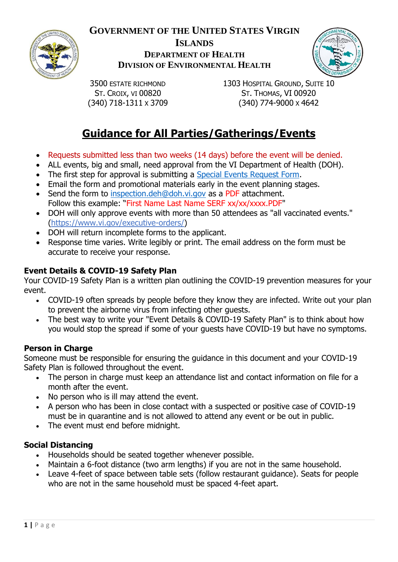

# **GOVERNMENT OF THE UNITED STATES VIRGIN ISLANDS DEPARTMENT OF HEALTH DIVISION OF ENVIRONMENTAL HEALTH**



3500 ESTATE RICHMOND ST. CROIX, VI 00820 (340) 718-1311 X 3709 1303 HOSPITAL GROUND, SUITE 10 ST. THOMAS, VI 00920 (340) 774-9000 X 4642

# **Guidance for All Parties/Gatherings/Events**

- Requests submitted less than two weeks (14 days) before the event will be denied.
- ALL events, big and small, need approval from the VI Department of Health (DOH).
- The first step for approval is submitting a [Special Events Request Form.](https://www.covid19usvi.com/)
- Email the form and promotional materials early in the event planning stages.
- Send the form to [inspection.deh@doh.vi.gov](mailto:inspection.deh@doh.vi.gov) as a PDF attachment. Follow this example: "First Name Last Name SERF xx/xx/xxxx.PDF"
- DOH will only approve events with more than 50 attendees as "all vaccinated events." [\(https://www.vi.gov/executive-orders/\)](https://www.vi.gov/executive-orders/)
- DOH will return incomplete forms to the applicant.
- Response time varies. Write legibly or print. The email address on the form must be accurate to receive your response.

## **Event Details & COVID-19 Safety Plan**

Your COVID-19 Safety Plan is a written plan outlining the COVID-19 prevention measures for your event.

- COVID-19 often spreads by people before they know they are infected. Write out your plan to prevent the airborne virus from infecting other guests.
- The best way to write your "Event Details & COVID-19 Safety Plan" is to think about how you would stop the spread if some of your guests have COVID-19 but have no symptoms.

#### **Person in Charge**

Someone must be responsible for ensuring the guidance in this document and your COVID-19 Safety Plan is followed throughout the event.

- The person in charge must keep an attendance list and contact information on file for a month after the event.
- No person who is ill may attend the event.
- A person who has been in close contact with a suspected or positive case of COVID-19 must be in quarantine and is not allowed to attend any event or be out in public.
- The event must end before midnight.

## **Social Distancing**

- Households should be seated together whenever possible.
- Maintain a 6-foot distance (two arm lengths) if you are not in the same household.
- Leave 4-feet of space between table sets (follow restaurant guidance). Seats for people who are not in the same household must be spaced 4-feet apart.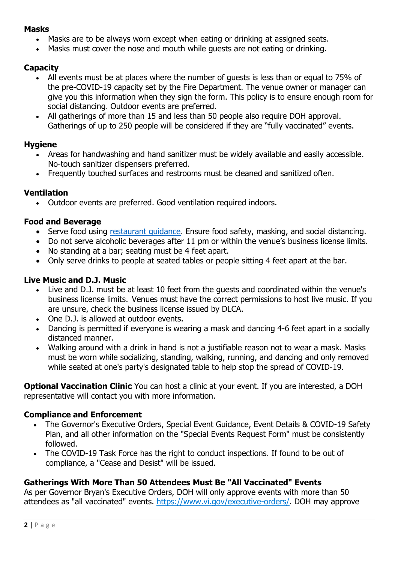#### **Masks**

- Masks are to be always worn except when eating or drinking at assigned seats.
- Masks must cover the nose and mouth while guests are not eating or drinking.

#### **Capacity**

- All events must be at places where the number of guests is less than or equal to 75% of the pre-COVID-19 capacity set by the Fire Department. The venue owner or manager can give you this information when they sign the form. This policy is to ensure enough room for social distancing. Outdoor events are preferred.
- All gatherings of more than 15 and less than 50 people also require DOH approval. Gatherings of up to 250 people will be considered if they are "fully vaccinated" events.

#### **Hygiene**

- Areas for handwashing and hand sanitizer must be widely available and easily accessible. No-touch sanitizer dispensers preferred.
- Frequently touched surfaces and restrooms must be cleaned and sanitized often.

#### **Ventilation**

• Outdoor events are preferred. Good ventilation required indoors.

#### **Food and Beverage**

- Serve food using restaurant quidance. Ensure food safety, masking, and social distancing.
- Do not serve alcoholic beverages after 11 pm or within the venue's business license limits.
- No standing at a bar; seating must be 4 feet apart.
- Only serve drinks to people at seated tables or people sitting 4 feet apart at the bar.

#### **Live Music and D.J. Music**

- Live and D.J. must be at least 10 feet from the guests and coordinated within the venue's business license limits.  Venues must have the correct permissions to host live music. If you are unsure, check the business license issued by DLCA.
- One D.J. is allowed at outdoor events.
- Dancing is permitted if everyone is wearing a mask and dancing 4-6 feet apart in a socially distanced manner.
- Walking around with a drink in hand is not a justifiable reason not to wear a mask. Masks must be worn while socializing, standing, walking, running, and dancing and only removed while seated at one's party's designated table to help stop the spread of COVID-19.

**Optional Vaccination Clinic** You can host a clinic at your event. If you are interested, a DOH representative will contact you with more information.

#### **Compliance and Enforcement**

- The Governor's Executive Orders, Special Event Guidance, Event Details & COVID-19 Safety Plan, and all other information on the "Special Events Request Form" must be consistently followed.
- The COVID-19 Task Force has the right to conduct inspections. If found to be out of compliance, a "Cease and Desist" will be issued.

## **Gatherings With More Than 50 Attendees Must Be "All Vaccinated" Events**

As per Governor Bryan's Executive Orders, DOH will only approve events with more than 50 attendees as "all vaccinated" events. [https://www.vi.gov/executive-orders/.](https://www.vi.gov/executive-orders/) DOH may approve